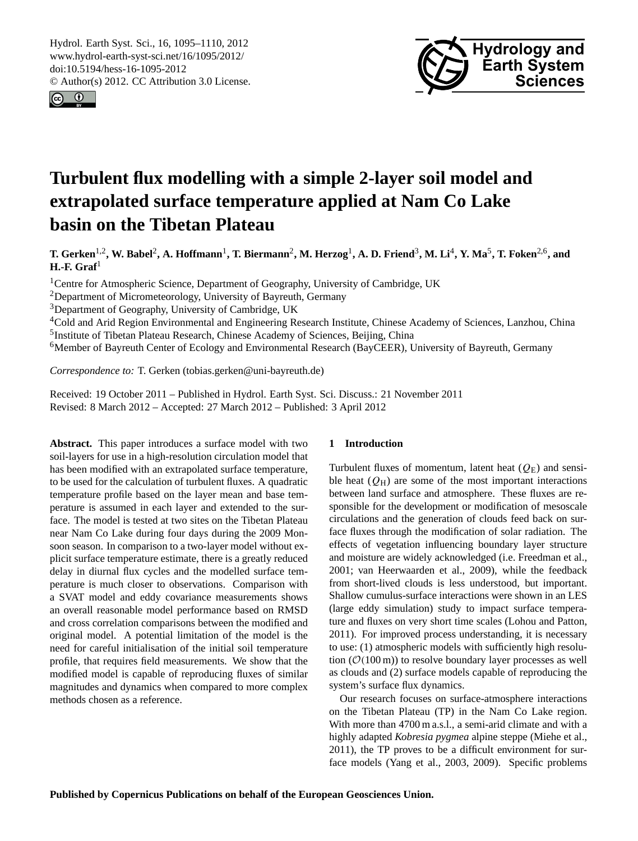<span id="page-0-0"></span>Hydrol. Earth Syst. Sci., 16, 1095–1110, 2012 www.hydrol-earth-syst-sci.net/16/1095/2012/ doi:10.5194/hess-16-1095-2012 © Author(s) 2012. CC Attribution 3.0 License.





# **Turbulent flux modelling with a simple 2-layer soil model and extrapolated surface temperature applied at Nam Co Lake basin on the Tibetan Plateau**

**T. Gerken**1,2**, W. Babel**<sup>2</sup> **, A. Hoffmann**<sup>1</sup> **, T. Biermann**<sup>2</sup> **, M. Herzog**<sup>1</sup> **, A. D. Friend**<sup>3</sup> **, M. Li**<sup>4</sup> **, Y. Ma**<sup>5</sup> **, T. Foken**2,6**, and H.-F. Graf**<sup>1</sup>

<sup>1</sup>Centre for Atmospheric Science, Department of Geography, University of Cambridge, UK

<sup>2</sup>Department of Micrometeorology, University of Bayreuth, Germany

<sup>3</sup>Department of Geography, University of Cambridge, UK

<sup>4</sup>Cold and Arid Region Environmental and Engineering Research Institute, Chinese Academy of Sciences, Lanzhou, China <sup>5</sup>Institute of Tibetan Plateau Research, Chinese Academy of Sciences, Beijing, China

<sup>6</sup>Member of Bayreuth Center of Ecology and Environmental Research (BayCEER), University of Bayreuth, Germany

*Correspondence to:* T. Gerken (tobias.gerken@uni-bayreuth.de)

Received: 19 October 2011 – Published in Hydrol. Earth Syst. Sci. Discuss.: 21 November 2011 Revised: 8 March 2012 – Accepted: 27 March 2012 – Published: 3 April 2012

**Abstract.** This paper introduces a surface model with two soil-layers for use in a high-resolution circulation model that has been modified with an extrapolated surface temperature, to be used for the calculation of turbulent fluxes. A quadratic temperature profile based on the layer mean and base temperature is assumed in each layer and extended to the surface. The model is tested at two sites on the Tibetan Plateau near Nam Co Lake during four days during the 2009 Monsoon season. In comparison to a two-layer model without explicit surface temperature estimate, there is a greatly reduced delay in diurnal flux cycles and the modelled surface temperature is much closer to observations. Comparison with a SVAT model and eddy covariance measurements shows an overall reasonable model performance based on RMSD and cross correlation comparisons between the modified and original model. A potential limitation of the model is the need for careful initialisation of the initial soil temperature profile, that requires field measurements. We show that the modified model is capable of reproducing fluxes of similar magnitudes and dynamics when compared to more complex methods chosen as a reference.

#### **1 Introduction**

Turbulent fluxes of momentum, latent heat  $(Q<sub>E</sub>)$  and sensible heat  $(Q_H)$  are some of the most important interactions between land surface and atmosphere. These fluxes are responsible for the development or modification of mesoscale circulations and the generation of clouds feed back on surface fluxes through the modification of solar radiation. The effects of vegetation influencing boundary layer structure and moisture are widely acknowledged (i.e. [Freedman et al.,](#page-13-0) [2001;](#page-13-0) [van Heerwaarden et al., 2009\)](#page-14-0), while the feedback from short-lived clouds is less understood, but important. Shallow cumulus-surface interactions were shown in an LES (large eddy simulation) study to impact surface temperature and fluxes on very short time scales [\(Lohou and Patton,](#page-14-1) [2011\)](#page-14-1). For improved process understanding, it is necessary to use: (1) atmospheric models with sufficiently high resolution  $(\mathcal{O}(100 \,\mathrm{m}))$  to resolve boundary layer processes as well as clouds and (2) surface models capable of reproducing the system's surface flux dynamics.

Our research focuses on surface-atmosphere interactions on the Tibetan Plateau (TP) in the Nam Co Lake region. With more than 4700 m a.s.l., a semi-arid climate and with a highly adapted *Kobresia pygmea* alpine steppe [\(Miehe et al.,](#page-14-2) [2011\)](#page-14-2), the TP proves to be a difficult environment for surface models [\(Yang et al., 2003,](#page-14-3) [2009\)](#page-14-4). Specific problems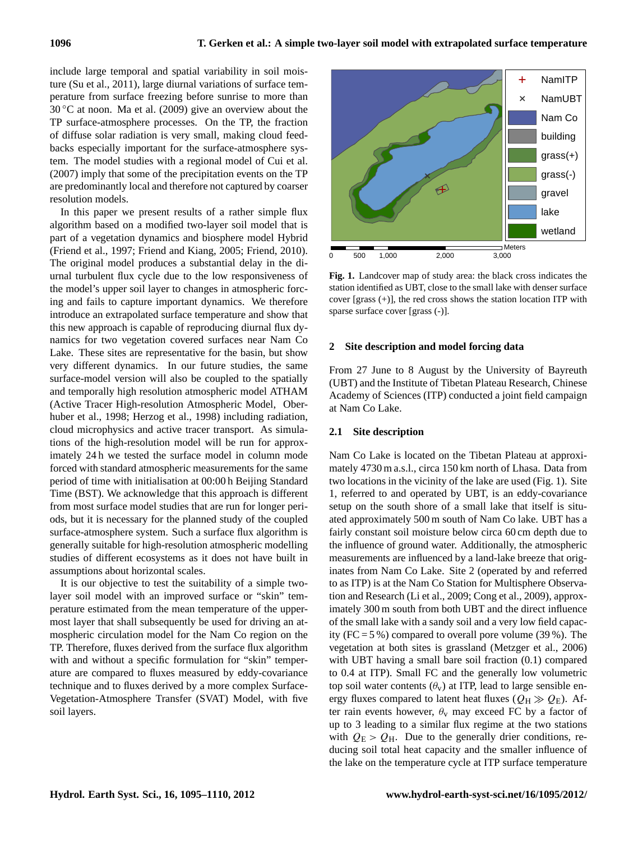include large temporal and spatial variability in soil moisture [\(Su et al., 2011\)](#page-14-5), large diurnal variations of surface temperature from surface freezing before sunrise to more than  $30\degree$ C at noon. [Ma et al. \(2009\)](#page-14-6) give an overview about the TP surface-atmosphere processes. On the TP, the fraction of diffuse solar radiation is very small, making cloud feedbacks especially important for the surface-atmosphere system. The model studies with a regional model of [Cui et al.](#page-13-1) [\(2007\)](#page-13-1) imply that some of the precipitation events on the TP are predominantly local and therefore not captured by coarser resolution models.

In this paper we present results of a rather simple flux algorithm based on a modified two-layer soil model that is part of a vegetation dynamics and biosphere model Hybrid [\(Friend et al., 1997;](#page-13-2) [Friend and Kiang, 2005;](#page-13-3) [Friend, 2010\)](#page-13-4). The original model produces a substantial delay in the diurnal turbulent flux cycle due to the low responsiveness of the model's upper soil layer to changes in atmospheric forcing and fails to capture important dynamics. We therefore introduce an extrapolated surface temperature and show that this new approach is capable of reproducing diurnal flux dynamics for two vegetation covered surfaces near Nam Co Lake. These sites are representative for the basin, but show very different dynamics. In our future studies, the same surface-model version will also be coupled to the spatially and temporally high resolution atmospheric model ATHAM (Active Tracer High-resolution Atmospheric Model, [Ober](#page-14-7)[huber et al., 1998;](#page-14-7) [Herzog et al., 1998\)](#page-14-8) including radiation, cloud microphysics and active tracer transport. As simulations of the high-resolution model will be run for approximately 24 h we tested the surface model in column mode forced with standard atmospheric measurements for the same period of time with initialisation at 00:00 h Beijing Standard Time (BST). We acknowledge that this approach is different from most surface model studies that are run for longer periods, but it is necessary for the planned study of the coupled surface-atmosphere system. Such a surface flux algorithm is generally suitable for high-resolution atmospheric modelling studies of different ecosystems as it does not have built in assumptions about horizontal scales. are preodominantly local and therefore not captured by coarser<br>
are solution models, in this paper we present results of a rather simple flux<br>
and algorithm based on a modified two-layer soil model that is<br>
and incording

It is our objective to test the suitability of a simple twolayer soil model with an improved surface or "skin" temperature estimated from the mean temperature of the uppermost layer that shall subsequently be used for driving an atmospheric circulation model for the Nam Co region on the TP. Therefore, fluxes derived from the surface flux algorithm with and without a specific formulation for "skin" temperature are compared to fluxes measured by eddy-covariance technique and to fluxes derived by a more complex Surface-Vegetation-Atmosphere Transfer (SVAT) Model, with five



<span id="page-1-0"></span>**Fig. 1.** Landcover map of study area: the black cross indicates the station identified as UBT, close to the small lake with denser surface cover [grass (+)], the red cross shows the station location ITP with sparse surface cover [grass (-)].

## **2 Site description and model forcing data**

From 27 June to 8 August by the University of Bayreuth (UBT) and the Institute of Tibetan Plateau Research, Chinese Academy of Sciences (ITP) conducted a joint field campaign at Nam Co Lake.

#### **2.1 Site description**

Nam Co Lake is located on the Tibetan Plateau at approximately 4730 m a.s.l., circa 150 km north of Lhasa. Data from two locations in the vicinity of the lake are used (Fig. [1\)](#page-1-0). Site 1, referred to and operated by UBT, is an eddy-covariance setup on the south shore of a small lake that itself is situated approximately 500 m south of Nam Co lake. UBT has a fairly constant soil moisture below circa 60 cm depth due to the influence of ground water. Additionally, the atmospheric measurements are influenced by a land-lake breeze that originates from Nam Co Lake. Site 2 (operated by and referred to as ITP) is at the Nam Co Station for Multisphere Observation and Research [\(Li et al., 2009;](#page-14-9) [Cong et al., 2009\)](#page-13-5), approximately 300 m south from both UBT and the direct influence of the small lake with a sandy soil and a very low field capacity (FC =  $5\%$ ) compared to overall pore volume (39%). The vegetation at both sites is grassland [\(Metzger et al., 2006\)](#page-14-10) with UBT having a small bare soil fraction (0.1) compared to 0.4 at ITP). Small FC and the generally low volumetric top soil water contents  $(\theta_v)$  at ITP, lead to large sensible energy fluxes compared to latent heat fluxes ( $Q_H \gg Q_E$ ). After rain events however,  $\theta_{v}$  may exceed FC by a factor of up to 3 leading to a similar flux regime at the two stations with  $Q_{\rm E} > Q_{\rm H}$ . Due to the generally drier conditions, reducing soil total heat capacity and the smaller influence of the lake on the temperature cycle at ITP surface temperature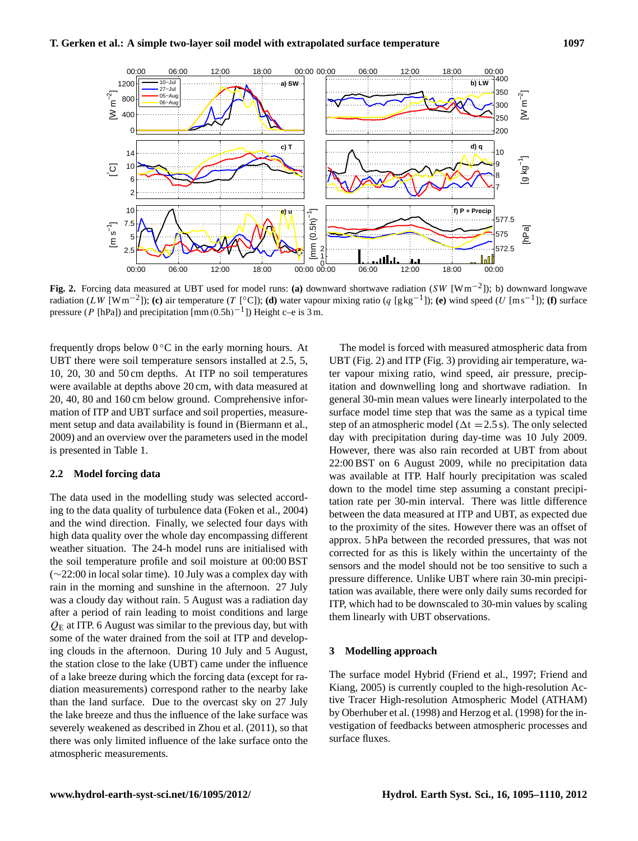

<span id="page-2-0"></span>**Fig. 2.** Forcing data measured at UBT used for model runs: **(a)** downward shortwave radiation (SW [Wm−<sup>2</sup> ]); b) downward longwave radiation (LW [Wm<sup>-2</sup>]); **(c)** air temperature (T [°C]); **(d)** water vapour mixing ratio (q [gkg<sup>-1</sup>]); **(e)** wind speed (U [ms<sup>-1</sup>]); **(f)** surface pressure (P [hPa]) and precipitation  $\text{[mm(0.5h)}^{-1}$ ]) Height c–e is 3 m.

frequently drops below  $0^{\circ}$ C in the early morning hours. At UBT there were soil temperature sensors installed at 2.5, 5, 10, 20, 30 and 50 cm depths. At ITP no soil temperatures were available at depths above 20 cm, with data measured at 20, 40, 80 and 160 cm below ground. Comprehensive information of ITP and UBT surface and soil properties, measurement setup and data availability is found in [\(Biermann et al.,](#page-13-6) [2009\)](#page-13-6) and an overview over the parameters used in the model is presented in Table [1.](#page-3-0)

# **2.2 Model forcing data**

The data used in the modelling study was selected according to the data quality of turbulence data [\(Foken et al., 2004\)](#page-13-7) and the wind direction. Finally, we selected four days with high data quality over the whole day encompassing different weather situation. The 24-h model runs are initialised with the soil temperature profile and soil moisture at 00:00 BST (∼22:00 in local solar time). 10 July was a complex day with rain in the morning and sunshine in the afternoon. 27 July was a cloudy day without rain. 5 August was a radiation day after a period of rain leading to moist conditions and large  $Q<sub>E</sub>$  at ITP. 6 August was similar to the previous day, but with some of the water drained from the soil at ITP and developing clouds in the afternoon. During 10 July and 5 August, the station close to the lake (UBT) came under the influence of a lake breeze during which the forcing data (except for radiation measurements) correspond rather to the nearby lake than the land surface. Due to the overcast sky on 27 July the lake breeze and thus the influence of the lake surface was severely weakened as described in [Zhou et al. \(2011\)](#page-15-0), so that there was only limited influence of the lake surface onto the atmospheric measurements.

The model is forced with measured atmospheric data from UBT (Fig. [2\)](#page-2-0) and ITP (Fig. [3\)](#page-3-1) providing air temperature, water vapour mixing ratio, wind speed, air pressure, precipitation and downwelling long and shortwave radiation. In general 30-min mean values were linearly interpolated to the surface model time step that was the same as a typical time step of an atmospheric model ( $\Delta t = 2.5$  s). The only selected day with precipitation during day-time was 10 July 2009. However, there was also rain recorded at UBT from about 22:00 BST on 6 August 2009, while no precipitation data was available at ITP. Half hourly precipitation was scaled down to the model time step assuming a constant precipitation rate per 30-min interval. There was little difference between the data measured at ITP and UBT, as expected due to the proximity of the sites. However there was an offset of approx. 5 hPa between the recorded pressures, that was not corrected for as this is likely within the uncertainty of the sensors and the model should not be too sensitive to such a pressure difference. Unlike UBT where rain 30-min precipitation was available, there were only daily sums recorded for ITP, which had to be downscaled to 30-min values by scaling them linearly with UBT observations.

#### **3 Modelling approach**

The surface model Hybrid [\(Friend et al., 1997;](#page-13-2) [Friend and](#page-13-3) [Kiang, 2005\)](#page-13-3) is currently coupled to the high-resolution Active Tracer High-resolution Atmospheric Model (ATHAM) by [Oberhuber et al.](#page-14-7) [\(1998\)](#page-14-7) and [Herzog et al. \(1998\)](#page-14-8) for the investigation of feedbacks between atmospheric processes and surface fluxes.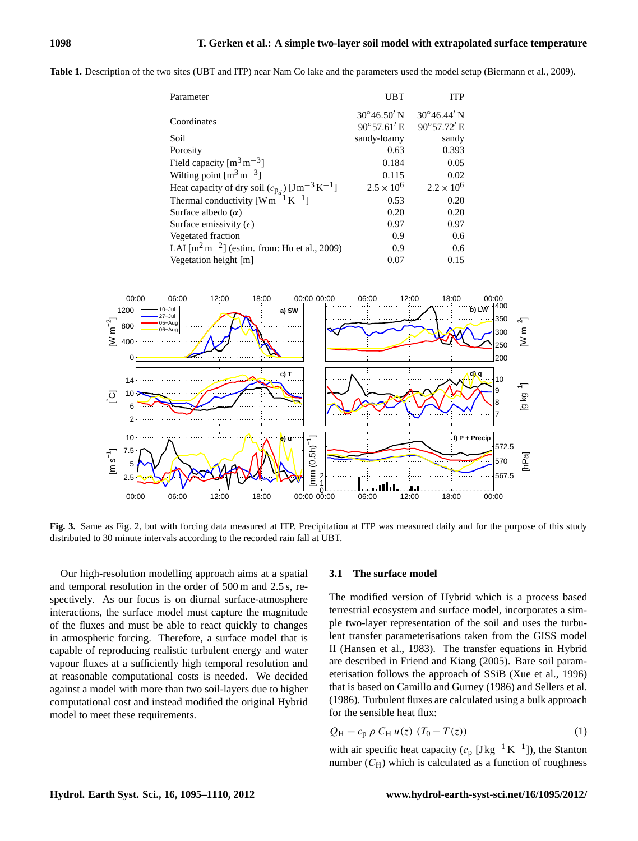| Parameter                                                                 | <b>UBT</b>           | <b>ITP</b>           |
|---------------------------------------------------------------------------|----------------------|----------------------|
|                                                                           | $30^{\circ}46.50'$ N | $30^{\circ}46.44'$ N |
| Coordinates                                                               | $90^{\circ}57.61'$ E | $90^{\circ}57.72'$ E |
| Soil                                                                      | sandy-loamy          | sandy                |
| Porosity                                                                  | 0.63                 | 0.393                |
| Field capacity $\left[\text{m}^3 \text{ m}^{-3}\right]$                   | 0.184                | 0.05                 |
| Wilting point $\lceil m^3 m^{-3} \rceil$                                  | 0.115                | 0.02                 |
| Heat capacity of dry soil $(c_{p_d})$ [Jm <sup>-3</sup> K <sup>-1</sup> ] | $2.5 \times 10^{6}$  | $2.2 \times 10^{6}$  |
| Thermal conductivity $[W \overline{m}^{-1} K^{-1}]$                       | 0.53                 | 0.20                 |
| Surface albedo $(\alpha)$                                                 | 0.20                 | 0.20                 |
| Surface emissivity $(\epsilon)$                                           | 0.97                 | 0.97                 |
| Vegetated fraction                                                        | 0.9                  | 0.6                  |
| LAI $\lceil m^2 m^{-2} \rceil$ (estim. from: Hu et al., 2009)             | 0.9                  | 0.6                  |
| Vegetation height [m]                                                     | 0.07                 | 0.15                 |

<span id="page-3-0"></span>**Table 1.** Description of the two sites (UBT and ITP) near Nam Co lake and the parameters used the model setup [\(Biermann et al., 2009\)](#page-13-6).



<span id="page-3-1"></span>**Fig. 3.** Same as Fig. [2,](#page-2-0) but with forcing data measured at ITP. Precipitation at ITP was measured daily and for the purpose of this study distributed to 30 minute intervals according to the recorded rain fall at UBT.

Our high-resolution modelling approach aims at a spatial and temporal resolution in the order of 500 m and 2.5 s, respectively. As our focus is on diurnal surface-atmosphere interactions, the surface model must capture the magnitude of the fluxes and must be able to react quickly to changes in atmospheric forcing. Therefore, a surface model that is capable of reproducing realistic turbulent energy and water vapour fluxes at a sufficiently high temporal resolution and at reasonable computational costs is needed. We decided against a model with more than two soil-layers due to higher computational cost and instead modified the original Hybrid model to meet these requirements.

#### **3.1 The surface model**

The modified version of Hybrid which is a process based terrestrial ecosystem and surface model, incorporates a simple two-layer representation of the soil and uses the turbulent transfer parameterisations taken from the GISS model II [\(Hansen et al., 1983\)](#page-13-8). The transfer equations in Hybrid are described in [Friend and Kiang \(2005\)](#page-13-3). Bare soil parameterisation follows the approach of SSiB [\(Xue et al., 1996\)](#page-14-12) that is based on [Camillo and Gurney \(1986\)](#page-13-9) and [Sellers et al.](#page-14-13) [\(1986\)](#page-14-13). Turbulent fluxes are calculated using a bulk approach for the sensible heat flux:

$$
Q_{\rm H} = c_{\rm p} \, \rho \, C_{\rm H} \, u(z) \, (T_0 - T(z)) \tag{1}
$$

with air specific heat capacity  $(c_p [Jkg^{-1} K^{-1}])$ , the Stanton number  $(C_H)$  which is calculated as a function of roughness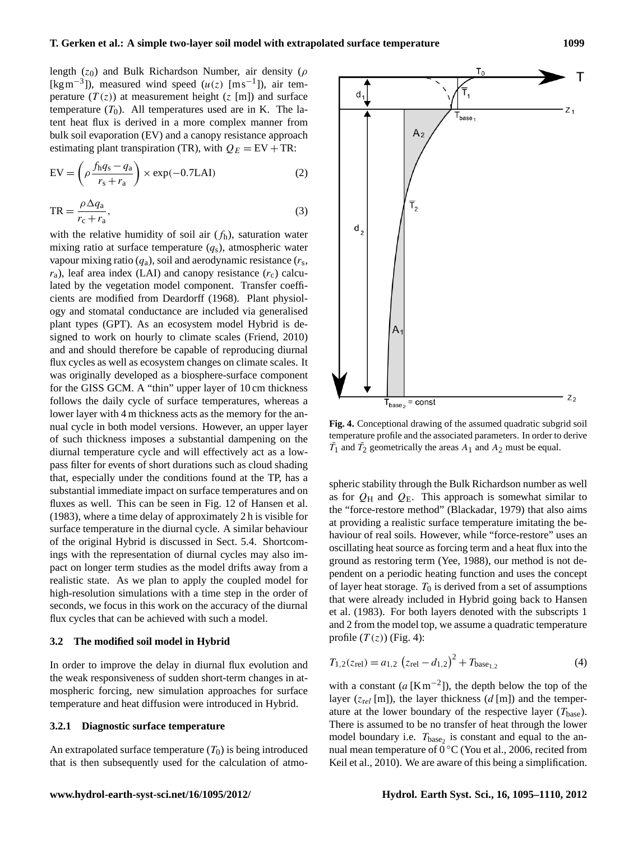length ( $z_0$ ) and Bulk Richardson Number, air density ( $\rho$ [kgm<sup>-3</sup>]), measured wind speed  $(u(z)$  [ms<sup>-1</sup>]), air temperature  $(T(z))$  at measurement height  $(z [m])$  and surface temperature  $(T_0)$ . All temperatures used are in K. The latent heat flux is derived in a more complex manner from bulk soil evaporation (EV) and a canopy resistance approach estimating plant transpiration (TR), with  $Q_E = EV + TR$ :  $EV = \left(\rho \frac{f_h q_s - q_a}{r} \right)$  $r_{\rm s} + r_{\rm a}$  $\chi \exp(-0.7$ LAI) (2)  $TR = \frac{\rho \Delta q_a}{\rho}$  $r_c + r_a$  $,$  (3) with the relative humidity of soil air  $(f_h)$ , saturation water

mixing ratio at surface temperature  $(q_s)$ , atmospheric water vapour mixing ratio  $(q_a)$ , soil and aerodynamic resistance  $(r_s)$ ,  $r_a$ ), leaf area index (LAI) and canopy resistance  $(r_c)$  calculated by the vegetation model component. Transfer coefficients are modified from [Deardorff \(1968\)](#page-13-10). Plant physiology and stomatal conductance are included via generalised plant types (GPT). As an ecosystem model Hybrid is designed to work on hourly to climate scales [\(Friend, 2010\)](#page-13-4) and and should therefore be capable of reproducing diurnal flux cycles as well as ecosystem changes on climate scales. It was originally developed as a biosphere-surface component for the GISS GCM. A "thin" upper layer of 10 cm thickness follows the daily cycle of surface temperatures, whereas a lower layer with 4 m thickness acts as the memory for the annual cycle in both model versions. However, an upper layer of such thickness imposes a substantial dampening on the diurnal temperature cycle and will effectively act as a lowpass filter for events of short durations such as cloud shading that, especially under the conditions found at the TP, has a substantial immediate impact on surface temperatures and on fluxes as well. This can be seen in Fig. 12 of [Hansen et al.](#page-13-8) [\(1983\)](#page-13-8), where a time delay of approximately 2 h is visible for surface temperature in the diurnal cycle. A similar behaviour of the original Hybrid is discussed in Sect. [5.4.](#page-12-0) Shortcomings with the representation of diurnal cycles may also impact on longer term studies as the model drifts away from a realistic state. As we plan to apply the coupled model for high-resolution simulations with a time step in the order of seconds, we focus in this work on the accuracy of the diurnal flux cycles that can be achieved with such a model.

#### **3.2 The modified soil model in Hybrid**

In order to improve the delay in diurnal flux evolution and the weak responsiveness of sudden short-term changes in atmospheric forcing, new simulation approaches for surface temperature and heat diffusion were introduced in Hybrid.

# **3.2.1 Diagnostic surface temperature**

An extrapolated surface temperature  $(T_0)$  is being introduced that is then subsequently used for the calculation of atmo<span id="page-4-0"></span>**Fig. 4.** Conceptional drawing of the assumed quadratic subgrid soil temperature profile and the associated parameters. In order to derive  $\overline{T}_1$  and  $\overline{T}_2$  geometrically the areas  $A_1$  and  $A_2$  must be equal.

spheric stability through the Bulk Richardson number as well as for  $Q_H$  and  $Q_E$ . This approach is somewhat similar to the "force-restore method" [\(Blackadar, 1979\)](#page-13-11) that also aims at providing a realistic surface temperature imitating the behaviour of real soils. However, while "force-restore" uses an oscillating heat source as forcing term and a heat flux into the ground as restoring term [\(Yee, 1988\)](#page-15-1), our method is not dependent on a periodic heating function and uses the concept of layer heat storage.  $T_0$  is derived from a set of assumptions that were already included in Hybrid going back to [Hansen](#page-13-8) [et al.](#page-13-8) [\(1983\)](#page-13-8). For both layers denoted with the subscripts 1 and 2 from the model top, we assume a quadratic temperature profile  $(T(z))$  (Fig. [4\)](#page-4-0):

<span id="page-4-1"></span>
$$
T_{1,2}(z_{\text{rel}}) = a_{1,2} (z_{\text{rel}} - d_{1,2})^2 + T_{\text{base}_{1,2}}
$$
 (4)

with a constant  $(a [Km^{-2}])$ , the depth below the top of the layer ( $z_{rel}$  [m]), the layer thickness (d [m]) and the temperature at the lower boundary of the respective layer  $(T_{base})$ . There is assumed to be no transfer of heat through the lower model boundary i.e.  $T_{base_2}$  is constant and equal to the annual mean temperature of 0 ◦C [\(You et al., 2006,](#page-15-2) recited from [Keil et al., 2010\)](#page-14-14). We are aware of this being a simplification.

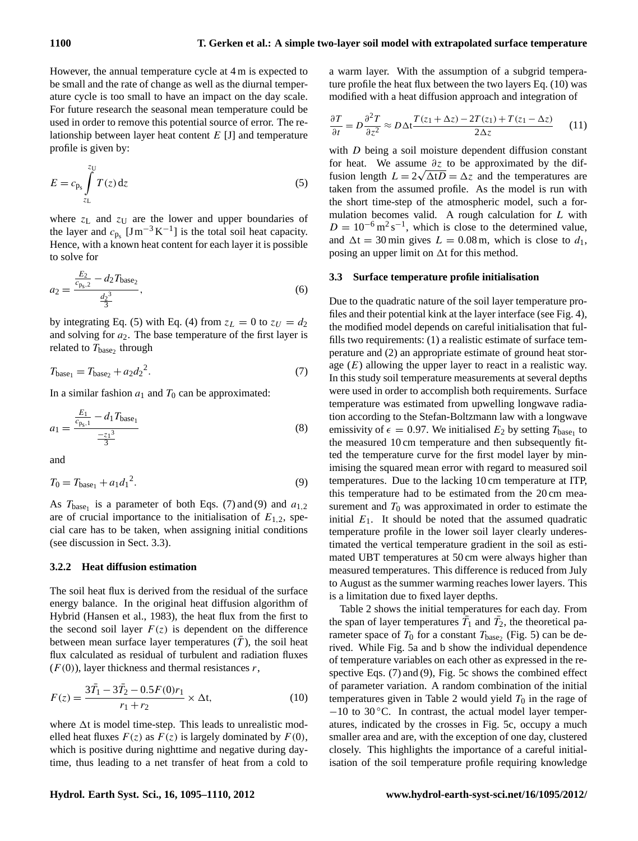However, the annual temperature cycle at 4 m is expected to be small and the rate of change as well as the diurnal temperature cycle is too small to have an impact on the day scale. For future research the seasonal mean temperature could be used in order to remove this potential source of error. The relationship between layer heat content E [J] and temperature profile is given by:

<span id="page-5-0"></span>
$$
E = c_{\mathbf{p}_s} \int_{z_{\mathbf{L}}}^{z_{\mathbf{U}}} T(z) \, \mathrm{d}z \tag{5}
$$

where  $z_L$  and  $z_U$  are the lower and upper boundaries of the layer and  $c_{p_s}$  [Jm<sup>-3</sup>K<sup>-1</sup>] is the total soil heat capacity. Hence, with a known heat content for each layer it is possible to solve for

<span id="page-5-5"></span>
$$
a_2 = \frac{\frac{E_2}{c_{\text{ps},2}} - d_2 T_{\text{base}_2}}{\frac{d_2^3}{3}},\tag{6}
$$

by integrating Eq. [\(5\)](#page-5-0) with Eq. [\(4\)](#page-4-1) from  $z_L = 0$  to  $z_U = d_2$ and solving for  $a_2$ . The base temperature of the first layer is related to  $T_{\text{base}_2}$  through

<span id="page-5-1"></span>
$$
T_{\text{base}_1} = T_{\text{base}_2} + a_2 d_2^2. \tag{7}
$$

In a similar fashion  $a_1$  and  $T_0$  can be approximated:

$$
a_1 = \frac{\frac{E_1}{c_{p_s,1}} - d_1 T_{\text{base}_1}}{\frac{-z_1^3}{3}}
$$
 (8)

and

<span id="page-5-2"></span>
$$
T_0 = T_{\text{base}_1} + a_1 d_1^2. \tag{9}
$$

As  $T_{base_1}$  is a parameter of both Eqs. [\(7\)](#page-5-1) and [\(9\)](#page-5-2) and  $a_{1,2}$ are of crucial importance to the initialisation of  $E_{1,2}$ , special care has to be taken, when assigning initial conditions (see discussion in Sect. [3.3\)](#page-5-3).

## **3.2.2 Heat diffusion estimation**

The soil heat flux is derived from the residual of the surface energy balance. In the original heat diffusion algorithm of Hybrid [\(Hansen et al., 1983\)](#page-13-8), the heat flux from the first to the second soil layer  $F(z)$  is dependent on the difference between mean surface layer temperatures  $(T)$ , the soil heat flux calculated as residual of turbulent and radiation fluxes  $(F(0))$ , layer thickness and thermal resistances r,

<span id="page-5-4"></span>
$$
F(z) = \frac{3\bar{T}_1 - 3\bar{T}_2 - 0.5F(0)r_1}{r_1 + r_2} \times \Delta t,
$$
\n(10)

where  $\Delta t$  is model time-step. This leads to unrealistic modelled heat fluxes  $F(z)$  as  $F(z)$  is largely dominated by  $F(0)$ , which is positive during nighttime and negative during daytime, thus leading to a net transfer of heat from a cold to a warm layer. With the assumption of a subgrid temperature profile the heat flux between the two layers Eq. [\(10\)](#page-5-4) was modified with a heat diffusion approach and integration of

$$
\frac{\partial T}{\partial t} = D \frac{\partial^2 T}{\partial z^2} \approx D \Delta t \frac{T(z_1 + \Delta z) - 2T(z_1) + T(z_1 - \Delta z)}{2 \Delta z} \tag{11}
$$

with D being a soil moisture dependent diffusion constant for heat. We assume  $\frac{\partial z}{\partial x}$  to be approximated by the diffusion length  $L = 2\sqrt{\Delta t D} = \Delta z$  and the temperatures are taken from the assumed profile. As the model is run with the short time-step of the atmospheric model, such a formulation becomes valid. A rough calculation for L with  $D = 10^{-6} \,\mathrm{m}^2 \,\mathrm{s}^{-1}$ , which is close to the determined value, and  $\Delta t = 30$  min gives  $L = 0.08$  m, which is close to  $d_1$ , posing an upper limit on  $\Delta t$  for this method.

# <span id="page-5-3"></span>**3.3 Surface temperature profile initialisation**

Due to the quadratic nature of the soil layer temperature profiles and their potential kink at the layer interface (see Fig. [4\)](#page-4-0), the modified model depends on careful initialisation that fulfills two requirements: (1) a realistic estimate of surface temperature and (2) an appropriate estimate of ground heat storage  $(E)$  allowing the upper layer to react in a realistic way. In this study soil temperature measurements at several depths were used in order to accomplish both requirements. Surface temperature was estimated from upwelling longwave radiation according to the Stefan-Boltzmann law with a longwave emissivity of  $\epsilon = 0.97$ . We initialised  $E_2$  by setting  $T_{\text{base}_1}$  to the measured 10 cm temperature and then subsequently fitted the temperature curve for the first model layer by minimising the squared mean error with regard to measured soil temperatures. Due to the lacking 10 cm temperature at ITP, this temperature had to be estimated from the 20 cm measurement and  $T_0$  was approximated in order to estimate the initial  $E_1$ . It should be noted that the assumed quadratic temperature profile in the lower soil layer clearly underestimated the vertical temperature gradient in the soil as estimated UBT temperatures at 50 cm were always higher than measured temperatures. This difference is reduced from July to August as the summer warming reaches lower layers. This is a limitation due to fixed layer depths.

Table [2](#page-6-0) shows the initial temperatures for each day. From the span of layer temperatures  $\overline{T}_1$  and  $\overline{T}_2$ , the theoretical parameter space of  $T_0$  for a constant  $T_{base_2}$  (Fig. [5\)](#page-7-0) can be derived. While Fig. [5a](#page-7-0) and b show the individual dependence of temperature variables on each other as expressed in the respective Eqs. [\(7\)](#page-5-1) and [\(9\)](#page-5-2), Fig. [5c](#page-7-0) shows the combined effect of parameter variation. A random combination of the initial temperatures given in Table [2](#page-6-0) would yield  $T_0$  in the rage of  $-10$  to 30 °C. In contrast, the actual model layer temperatures, indicated by the crosses in Fig. [5c](#page-7-0), occupy a much smaller area and are, with the exception of one day, clustered closely. This highlights the importance of a careful initialisation of the soil temperature profile requiring knowledge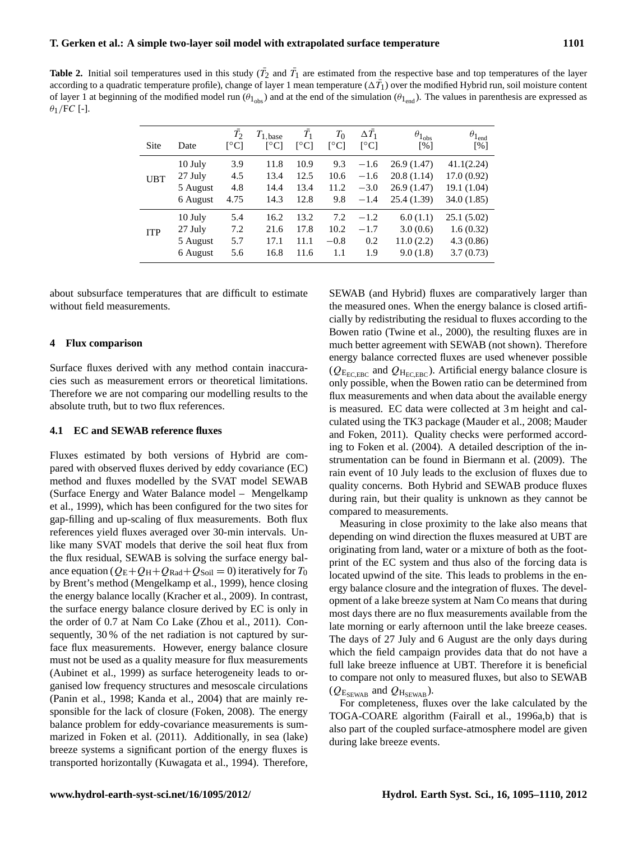<span id="page-6-0"></span>**Table 2.** Initial soil temperatures used in this study  $(\bar{T}_2$  and  $\bar{T}_1$  are estimated from the respective base and top temperatures of the layer according to a quadratic temperature profile), change of layer 1 mean temperature ( $\Delta \bar{T_1}$ ) over the modified Hybrid run, soil moisture content of layer 1 at beginning of the modified model run  $(\theta_{1_{\text{obs}}})$  and at the end of the simulation  $(\theta_{1_{\text{end}}})$ . The values in parenthesis are expressed as  $\theta_1$ /FC [-].

| <b>Site</b> | Date     | $T_2$<br>r°C1 | $T_{1, \text{base}}$<br>$\lceil{^{\circ}C}\rceil$ | $\bar{T_1}$<br>$\lceil{^{\circ}C}\rceil$ | $T_0$<br>$\lceil^{\circ}$ Cl | $\Delta T_1$<br>$\lceil^{\circ}$ Cl | $\theta_{1_{\rm obs}}$<br>$\lceil\% \rceil$ | $\theta_{1_{\rm end}}$<br>$\lceil\% \rceil$ |
|-------------|----------|---------------|---------------------------------------------------|------------------------------------------|------------------------------|-------------------------------------|---------------------------------------------|---------------------------------------------|
| <b>UBT</b>  | 10 July  | 3.9           | 11.8                                              | 10.9                                     | 9.3                          | $-1.6$                              | 26.9(1.47)                                  | 41.1(2.24)                                  |
|             | 27 July  | 4.5           | 13.4                                              | 12.5                                     | 10.6                         | $-1.6$                              | 20.8(1.14)                                  | 17.0(0.92)                                  |
|             | 5 August | 4.8           | 14.4                                              | 13.4                                     | 11.2                         | $-3.0$                              | 26.9(1.47)                                  | 19.1 (1.04)                                 |
|             | 6 August | 4.75          | 14.3                                              | 12.8                                     | 9.8                          | $-1.4$                              | 25.4(1.39)                                  | 34.0(1.85)                                  |
| <b>ITP</b>  | 10 July  | 5.4           | 16.2                                              | 13.2                                     | 7.2                          | $-1.2$                              | 6.0(1.1)                                    | 25.1(5.02)                                  |
|             | 27 July  | 7.2           | 21.6                                              | 17.8                                     | 10.2                         | $-1.7$                              | 3.0(0.6)                                    | 1.6(0.32)                                   |
|             | 5 August | 5.7           | 17.1                                              | 11.1                                     | $-0.8$                       | 0.2                                 | 11.0(2.2)                                   | 4.3(0.86)                                   |
|             | 6 August | 5.6           | 16.8                                              | 11.6                                     | 1.1                          | 1.9                                 | 9.0(1.8)                                    | 3.7(0.73)                                   |

about subsurface temperatures that are difficult to estimate without field measurements.

## **4 Flux comparison**

Surface fluxes derived with any method contain inaccuracies such as measurement errors or theoretical limitations. Therefore we are not comparing our modelling results to the absolute truth, but to two flux references.

#### <span id="page-6-1"></span>**4.1 EC and SEWAB reference fluxes**

Fluxes estimated by both versions of Hybrid are compared with observed fluxes derived by eddy covariance (EC) method and fluxes modelled by the SVAT model SEWAB (Surface Energy and Water Balance model – [Mengelkamp](#page-14-15) [et al., 1999\)](#page-14-15), which has been configured for the two sites for gap-filling and up-scaling of flux measurements. Both flux references yield fluxes averaged over 30-min intervals. Unlike many SVAT models that derive the soil heat flux from the flux residual, SEWAB is solving the surface energy balance equation ( $Q_{\rm E}+Q_{\rm H}+Q_{\rm Rad}+Q_{\rm Soil}=0$ ) iteratively for  $T_0$ by Brent's method [\(Mengelkamp et al., 1999\)](#page-14-15), hence closing the energy balance locally [\(Kracher et al., 2009\)](#page-14-16). In contrast, the surface energy balance closure derived by EC is only in the order of 0.7 at Nam Co Lake [\(Zhou et al., 2011\)](#page-15-0). Consequently, 30 % of the net radiation is not captured by surface flux measurements. However, energy balance closure must not be used as a quality measure for flux measurements [\(Aubinet et al., 1999\)](#page-13-12) as surface heterogeneity leads to organised low frequency structures and mesoscale circulations [\(Panin et al., 1998;](#page-14-17) [Kanda et al., 2004\)](#page-14-18) that are mainly responsible for the lack of closure [\(Foken, 2008\)](#page-13-13). The energy balance problem for eddy-covariance measurements is summarized in [Foken et al. \(2011\)](#page-13-14). Additionally, in sea (lake) breeze systems a significant portion of the energy fluxes is transported horizontally [\(Kuwagata et al., 1994\)](#page-14-19). Therefore, SEWAB (and Hybrid) fluxes are comparatively larger than the measured ones. When the energy balance is closed artificially by redistributing the residual to fluxes according to the Bowen ratio [\(Twine et al., 2000\)](#page-14-20), the resulting fluxes are in much better agreement with SEWAB (not shown). Therefore energy balance corrected fluxes are used whenever possible ( $Q_{\text{E}_{\text{ECEBC}}}$  and  $Q_{\text{H}_{\text{ECEBC}}}$ ). Artificial energy balance closure is only possible, when the Bowen ratio can be determined from flux measurements and when data about the available energy is measured. EC data were collected at 3 m height and calculated using the TK3 package [\(Mauder et al., 2008;](#page-14-21) [Mauder](#page-14-22) [and Foken, 2011\)](#page-14-22). Quality checks were performed according to [Foken et al. \(2004\)](#page-13-7). A detailed description of the instrumentation can be found in [Biermann et al.](#page-13-6) [\(2009\)](#page-13-6). The rain event of 10 July leads to the exclusion of fluxes due to quality concerns. Both Hybrid and SEWAB produce fluxes during rain, but their quality is unknown as they cannot be compared to measurements.

Measuring in close proximity to the lake also means that depending on wind direction the fluxes measured at UBT are originating from land, water or a mixture of both as the footprint of the EC system and thus also of the forcing data is located upwind of the site. This leads to problems in the energy balance closure and the integration of fluxes. The development of a lake breeze system at Nam Co means that during most days there are no flux measurements available from the late morning or early afternoon until the lake breeze ceases. The days of 27 July and 6 August are the only days during which the field campaign provides data that do not have a full lake breeze influence at UBT. Therefore it is beneficial to compare not only to measured fluxes, but also to SEWAB  $(Q_{E_{SEWAB}}$  and  $Q_{H_{SEWAB}}$ ).

For completeness, fluxes over the lake calculated by the TOGA-COARE algorithm [\(Fairall et al., 1996a](#page-13-15)[,b\)](#page-13-16) that is also part of the coupled surface-atmosphere model are given during lake breeze events.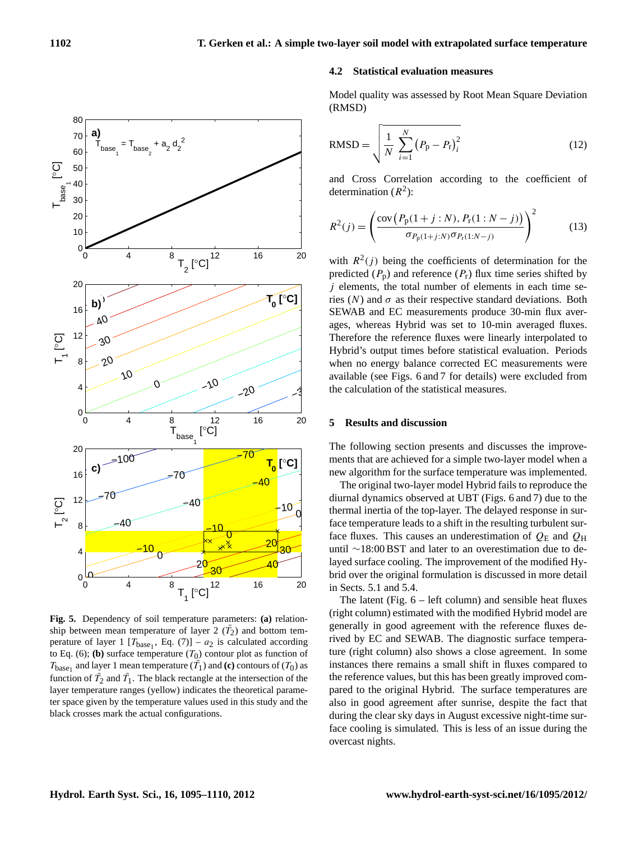

<span id="page-7-0"></span>**Fig. 5.** Dependency of soil temperature parameters: **(a)** relationship between mean temperature of layer  $2(\bar{T}_2)$  and bottom temperature of layer 1  $[T_{base_1}, Eq. (7)] - a_2$  $[T_{base_1}, Eq. (7)] - a_2$  $[T_{base_1}, Eq. (7)] - a_2$  is calculated according to Eq. [\(6\)](#page-5-5); **(b)** surface temperature  $(T_0)$  contour plot as function of  $T_{\text{base}_1}$  and layer 1 mean temperature  $(T_1)$  and **(c)** contours of  $(T_0)$  as function of  $\bar{T}_2$  and  $\bar{T}_1$ . The black rectangle at the intersection of the layer temperature ranges (yellow) indicates the theoretical parameter space given by the temperature values used in this study and the black crosses mark the actual configurations.

# **4.2 Statistical evaluation measures**

Model quality was assessed by Root Mean Square Deviation (RMSD)

RMSD = 
$$
\sqrt{\frac{1}{N} \sum_{i=1}^{N} (P_{p} - P_{r})_{i}^{2}}
$$
 (12)

and Cross Correlation according to the coefficient of determination  $(R^2)$ :

$$
R^{2}(j) = \left(\frac{\text{cov}\left(P_{\text{p}}(1+j:N), P_{\text{r}}(1:N-j)\right)}{\sigma_{P_{\text{p}}(1+j:N)}\sigma_{P_{\text{r}}(1:N-j)}}\right)^{2} \tag{13}
$$

with  $R^2(j)$  being the coefficients of determination for the predicted  $(P_p)$  and reference  $(P_r)$  flux time series shifted by  $j$  elements, the total number of elements in each time series  $(N)$  and  $\sigma$  as their respective standard deviations. Both SEWAB and EC measurements produce 30-min flux averages, whereas Hybrid was set to 10-min averaged fluxes. Therefore the reference fluxes were linearly interpolated to Hybrid's output times before statistical evaluation. Periods when no energy balance corrected EC measurements were available (see Figs. [6](#page-8-0) and [7](#page-9-0) for details) were excluded from the calculation of the statistical measures.

## **5 Results and discussion**

The following section presents and discusses the improvements that are achieved for a simple two-layer model when a new algorithm for the surface temperature was implemented.

The original two-layer model Hybrid fails to reproduce the diurnal dynamics observed at UBT (Figs. [6](#page-8-0) and [7\)](#page-9-0) due to the thermal inertia of the top-layer. The delayed response in surface temperature leads to a shift in the resulting turbulent surface fluxes. This causes an underestimation of  $Q_E$  and  $Q_H$ until ∼18:00 BST and later to an overestimation due to delayed surface cooling. The improvement of the modified Hybrid over the original formulation is discussed in more detail in Sects. [5.1](#page-9-1) and [5.4.](#page-12-0)

The latent (Fig.  $6$  – left column) and sensible heat fluxes (right column) estimated with the modified Hybrid model are generally in good agreement with the reference fluxes derived by EC and SEWAB. The diagnostic surface temperature (right column) also shows a close agreement. In some instances there remains a small shift in fluxes compared to the reference values, but this has been greatly improved compared to the original Hybrid. The surface temperatures are also in good agreement after sunrise, despite the fact that during the clear sky days in August excessive night-time surface cooling is simulated. This is less of an issue during the overcast nights.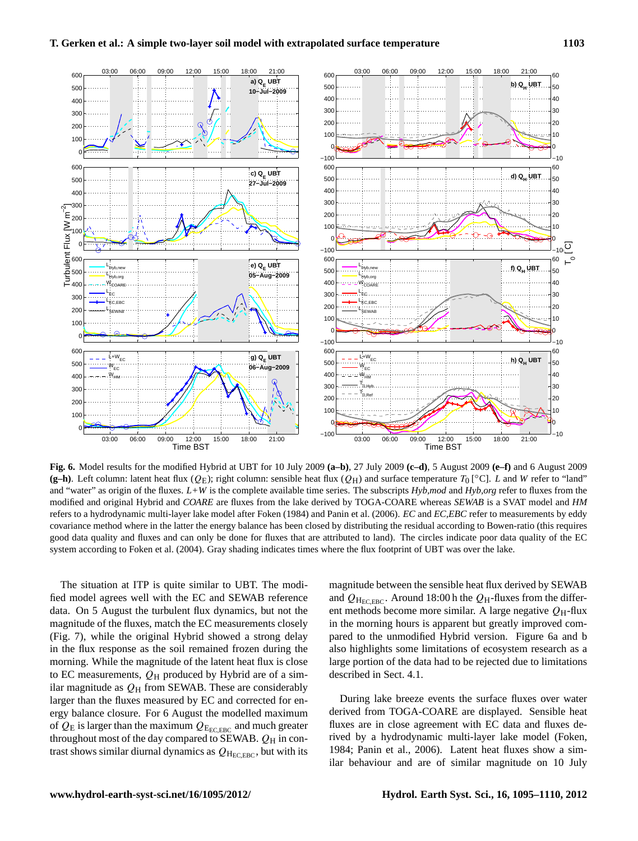

<span id="page-8-0"></span>**Fig. 6.** Model results for the modified Hybrid at UBT for 10 July 2009 **(a–b)**, 27 July 2009 **(c–d)**, 5 August 2009 **(e–f)** and 6 August 2009 (g-h). Left column: latent heat flux ( $Q_E$ ); right column: sensible heat flux ( $Q_H$ ) and surface temperature  $T_0$  [ $\degree$ C]. *L* and *W* refer to "land" and "water" as origin of the fluxes. *L+W* is the complete available time series. The subscripts *Hyb,mod* and *Hyb,org* refer to fluxes from the modified and original Hybrid and *COARE* are fluxes from the lake derived by TOGA-COARE whereas *SEWAB* is a SVAT model and *HM* refers to a hydrodynamic multi-layer lake model after [Foken \(1984\)](#page-13-17) and [Panin et al. \(2006\)](#page-14-23). *EC* and *EC,EBC* refer to measurements by eddy covariance method where in the latter the energy balance has been closed by distributing the residual according to Bowen-ratio (this requires good data quality and fluxes and can only be done for fluxes that are attributed to land). The circles indicate poor data quality of the EC system according to [Foken et al.](#page-13-7) [\(2004\)](#page-13-7). Gray shading indicates times where the flux footprint of UBT was over the lake.

The situation at ITP is quite similar to UBT. The modified model agrees well with the EC and SEWAB reference data. On 5 August the turbulent flux dynamics, but not the magnitude of the fluxes, match the EC measurements closely (Fig. [7\)](#page-9-0), while the original Hybrid showed a strong delay in the flux response as the soil remained frozen during the morning. While the magnitude of the latent heat flux is close to EC measurements,  $Q_H$  produced by Hybrid are of a similar magnitude as  $Q_H$  from SEWAB. These are considerably larger than the fluxes measured by EC and corrected for energy balance closure. For 6 August the modelled maximum of  $Q_E$  is larger than the maximum  $Q_{\text{E}_{\text{ECC,EBC}}}$  and much greater throughout most of the day compared to SEWAB.  $Q_H$  in contrast shows similar diurnal dynamics as  $Q_{\text{H}_{\text{ECEBC}}}$ , but with its

magnitude between the sensible heat flux derived by SEWAB and  $Q_{\text{H}_{\text{FCEBC}}}$ . Around 18:00 h the  $Q_{\text{H}}$ -fluxes from the different methods become more similar. A large negative  $Q_H$ -flux in the morning hours is apparent but greatly improved compared to the unmodified Hybrid version. Figure [6a](#page-8-0) and b also highlights some limitations of ecosystem research as a large portion of the data had to be rejected due to limitations described in Sect. [4.1.](#page-6-1)

During lake breeze events the surface fluxes over water derived from TOGA-COARE are displayed. Sensible heat fluxes are in close agreement with EC data and fluxes derived by a hydrodynamic multi-layer lake model [\(Foken,](#page-13-17) [1984;](#page-13-17) [Panin et al., 2006\)](#page-14-23). Latent heat fluxes show a similar behaviour and are of similar magnitude on 10 July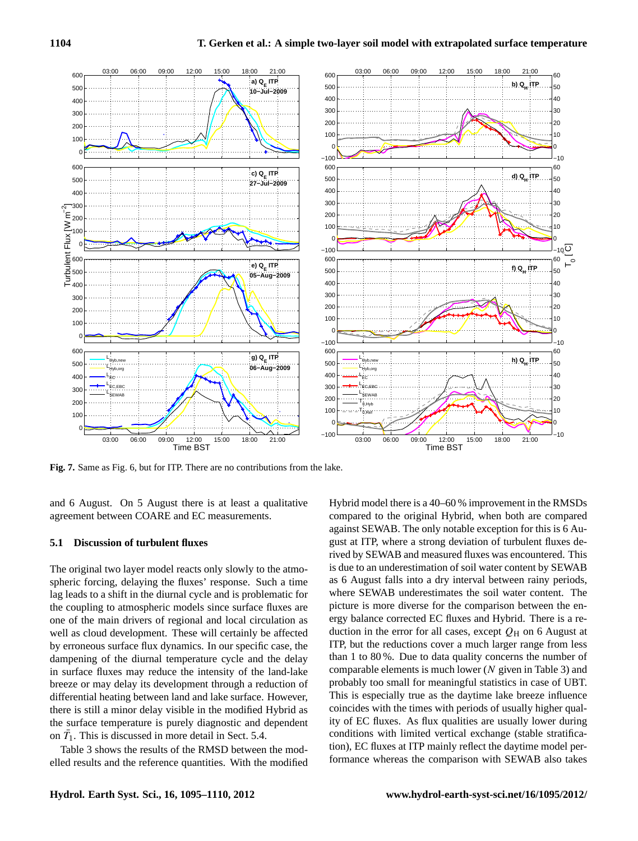

<span id="page-9-0"></span>**Fig. 7.** Same as Fig. [6,](#page-8-0) but for ITP. There are no contributions from the lake.

and 6 August. On 5 August there is at least a qualitative agreement between COARE and EC measurements.

# <span id="page-9-1"></span>**5.1 Discussion of turbulent fluxes**

The original two layer model reacts only slowly to the atmospheric forcing, delaying the fluxes' response. Such a time lag leads to a shift in the diurnal cycle and is problematic for the coupling to atmospheric models since surface fluxes are one of the main drivers of regional and local circulation as well as cloud development. These will certainly be affected by erroneous surface flux dynamics. In our specific case, the dampening of the diurnal temperature cycle and the delay in surface fluxes may reduce the intensity of the land-lake breeze or may delay its development through a reduction of differential heating between land and lake surface. However, there is still a minor delay visible in the modified Hybrid as the surface temperature is purely diagnostic and dependent on  $\bar{T}_1$ . This is discussed in more detail in Sect. [5.4.](#page-12-0)

Table [3](#page-11-0) shows the results of the RMSD between the modelled results and the reference quantities. With the modified Hybrid model there is a 40–60 % improvement in the RMSDs compared to the original Hybrid, when both are compared against SEWAB. The only notable exception for this is 6 August at ITP, where a strong deviation of turbulent fluxes derived by SEWAB and measured fluxes was encountered. This is due to an underestimation of soil water content by SEWAB as 6 August falls into a dry interval between rainy periods, where SEWAB underestimates the soil water content. The picture is more diverse for the comparison between the energy balance corrected EC fluxes and Hybrid. There is a reduction in the error for all cases, except  $Q_H$  on 6 August at ITP, but the reductions cover a much larger range from less than 1 to 80 %. Due to data quality concerns the number of comparable elements is much lower  $(N$  given in Table [3\)](#page-11-0) and probably too small for meaningful statistics in case of UBT. This is especially true as the daytime lake breeze influence coincides with the times with periods of usually higher quality of EC fluxes. As flux qualities are usually lower during conditions with limited vertical exchange (stable stratification), EC fluxes at ITP mainly reflect the daytime model performance whereas the comparison with SEWAB also takes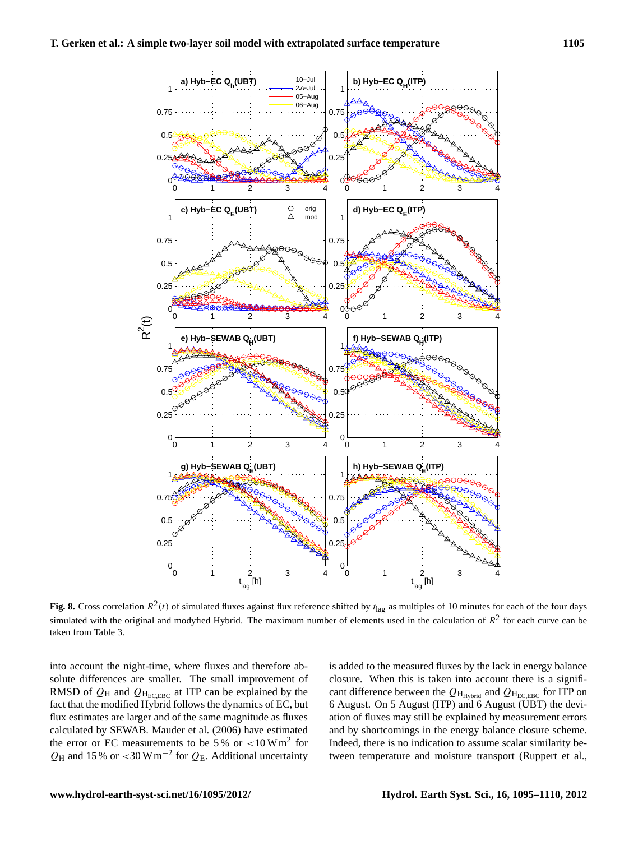

<span id="page-10-0"></span>Fig. 8. Cross correlation  $R^2(t)$  of simulated fluxes against flux reference shifted by  $t_{\text{lag}}$  as multiples of 10 minutes for each of the four days simulated with the original and modyfied Hybrid. The maximum number of elements used in the calculation of  $R^2$  for each curve can be taken from Table [3.](#page-11-0)

into account the night-time, where fluxes and therefore absolute differences are smaller. The small improvement of RMSD of  $Q_H$  and  $Q_{H_{ECEBC}}$  at ITP can be explained by the fact that the modified Hybrid follows the dynamics of EC, but flux estimates are larger and of the same magnitude as fluxes calculated by SEWAB. [Mauder et al.](#page-14-24) [\(2006\)](#page-14-24) have estimated the error or EC measurements to be 5% or  $\rm <10 Wm<sup>2</sup>$  for  $Q_H$  and 15 % or <30 W m<sup>-2</sup> for  $Q_E$ . Additional uncertainty

is added to the measured fluxes by the lack in energy balance closure. When this is taken into account there is a significant difference between the  $Q_{H_{Hvbrid}}$  and  $Q_{H_{ECEBC}}$  for ITP on 6 August. On 5 August (ITP) and 6 August (UBT) the deviation of fluxes may still be explained by measurement errors and by shortcomings in the energy balance closure scheme. Indeed, there is no indication to assume scalar similarity between temperature and moisture transport [\(Ruppert et al.,](#page-14-25)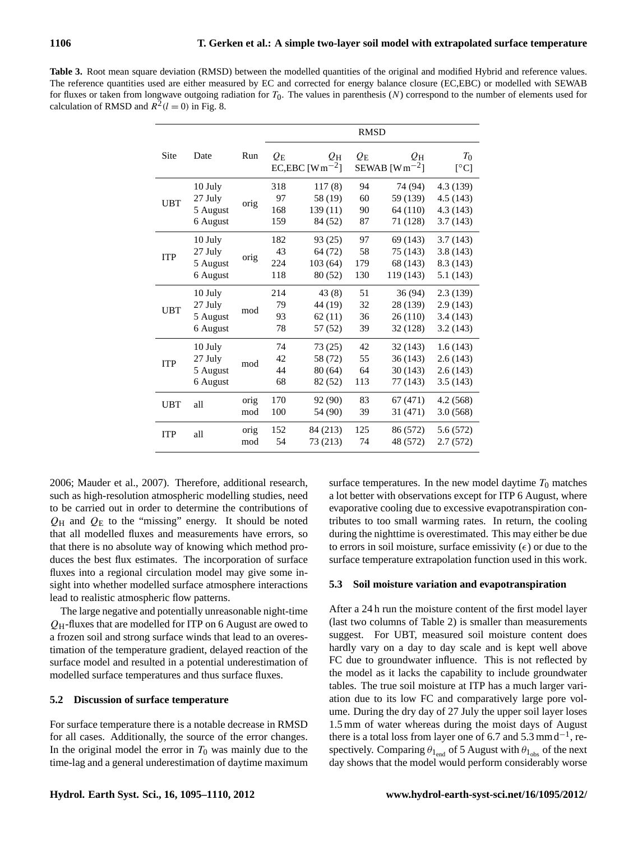<span id="page-11-0"></span>Table 3. Root mean square deviation (RMSD) between the modelled quantities of the original and modified Hybrid and reference values. The reference quantities used are either measured by EC and corrected for energy balance closure (EC,EBC) or modelled with SEWAB for fluxes or taken from longwave outgoing radiation for  $T_0$ . The values in parenthesis (N) correspond to the number of elements used for calculation of RMSD and  $R^2(l=0)$  in Fig. [8.](#page-10-0)

|            |                                              |             | <b>RMSD</b>                  |                                          |                        |                                               |                                                |
|------------|----------------------------------------------|-------------|------------------------------|------------------------------------------|------------------------|-----------------------------------------------|------------------------------------------------|
| Site       | Date                                         | Run         | $\varrho_{\textrm{\tiny E}}$ | $Q_{\rm H}$<br>EC,EBC [ $Wm^{-2}$ ]      | $Q_{\rm E}$            | $Q_{\rm H}$<br>SEWAB [ $Wm^{-2}$ ]            | $T_0$<br>[°C]                                  |
| <b>UBT</b> | 10 July<br>27 July<br>5 August<br>6 August   | orig        | 318<br>97<br>168<br>159      | 117(8)<br>58 (19)<br>139(11)<br>84 (52)  | 94<br>60<br>90<br>87   | 74 (94)<br>59 (139)<br>64 (110)<br>71 (128)   | 4.3 (139)<br>4.5(143)<br>4.3 (143)<br>3.7(143) |
| <b>ITP</b> | 10 July<br>27 July<br>5 August<br>6 August   | orig        | 182<br>43<br>224<br>118      | 93 (25)<br>64 (72)<br>103(64)<br>80 (52) | 97<br>58<br>179<br>130 | 69 (143)<br>75 (143)<br>68 (143)<br>119 (143) | 3.7(143)<br>3.8(143)<br>8.3 (143)<br>5.1 (143) |
| UBT        | 10 July<br>27 July<br>5 August<br>6 August   | mod         | 214<br>79<br>93<br>78        | 43(8)<br>44 (19)<br>62(11)<br>57 (52)    | 51<br>32<br>36<br>39   | 36 (94)<br>28 (139)<br>26 (110)<br>32 (128)   | 2.3(139)<br>2.9(143)<br>3.4(143)<br>3.2(143)   |
| <b>ITP</b> | $10$ July<br>27 July<br>5 August<br>6 August | mod         | 74<br>42<br>44<br>68         | 73(25)<br>58 (72)<br>80(64)<br>82 (52)   | 42<br>55<br>64<br>113  | 32 (143)<br>36(143)<br>30(143)<br>77 (143)    | 1.6(143)<br>2.6(143)<br>2.6(143)<br>3.5(143)   |
| <b>UBT</b> | all                                          | orig<br>mod | 170<br>100                   | 92 (90)<br>54 (90)                       | 83<br>39               | 67 (471)<br>31 (471)                          | 4.2(568)<br>3.0(568)                           |
| <b>ITP</b> | all                                          | orig<br>mod | 152<br>54                    | 84 (213)<br>73 (213)                     | 125<br>74              | 86 (572)<br>48 (572)                          | 5.6 (572)<br>2.7(572)                          |

[2006;](#page-14-25) [Mauder et al., 2007\)](#page-14-26). Therefore, additional research, such as high-resolution atmospheric modelling studies, need to be carried out in order to determine the contributions of  $Q_H$  and  $Q_E$  to the "missing" energy. It should be noted that all modelled fluxes and measurements have errors, so that there is no absolute way of knowing which method produces the best flux estimates. The incorporation of surface fluxes into a regional circulation model may give some insight into whether modelled surface atmosphere interactions lead to realistic atmospheric flow patterns.

The large negative and potentially unreasonable night-time  $Q_H$ -fluxes that are modelled for ITP on 6 August are owed to a frozen soil and strong surface winds that lead to an overestimation of the temperature gradient, delayed reaction of the surface model and resulted in a potential underestimation of modelled surface temperatures and thus surface fluxes.

#### **5.2 Discussion of surface temperature**

For surface temperature there is a notable decrease in RMSD for all cases. Additionally, the source of the error changes. In the original model the error in  $T_0$  was mainly due to the time-lag and a general underestimation of daytime maximum surface temperatures. In the new model daytime  $T_0$  matches a lot better with observations except for ITP 6 August, where evaporative cooling due to excessive evapotranspiration contributes to too small warming rates. In return, the cooling during the nighttime is overestimated. This may either be due to errors in soil moisture, surface emissivity  $(\epsilon)$  or due to the surface temperature extrapolation function used in this work.

#### **5.3 Soil moisture variation and evapotranspiration**

After a 24 h run the moisture content of the first model layer (last two columns of Table [2\)](#page-6-0) is smaller than measurements suggest. For UBT, measured soil moisture content does hardly vary on a day to day scale and is kept well above FC due to groundwater influence. This is not reflected by the model as it lacks the capability to include groundwater tables. The true soil moisture at ITP has a much larger variation due to its low FC and comparatively large pore volume. During the dry day of 27 July the upper soil layer loses 1.5 mm of water whereas during the moist days of August there is a total loss from layer one of 6.7 and  $5.3$  mm d<sup>-1</sup>, respectively. Comparing  $\theta_{1_{\text{end}}}$  of 5 August with  $\theta_{1_{\text{obs}}}$  of the next day shows that the model would perform considerably worse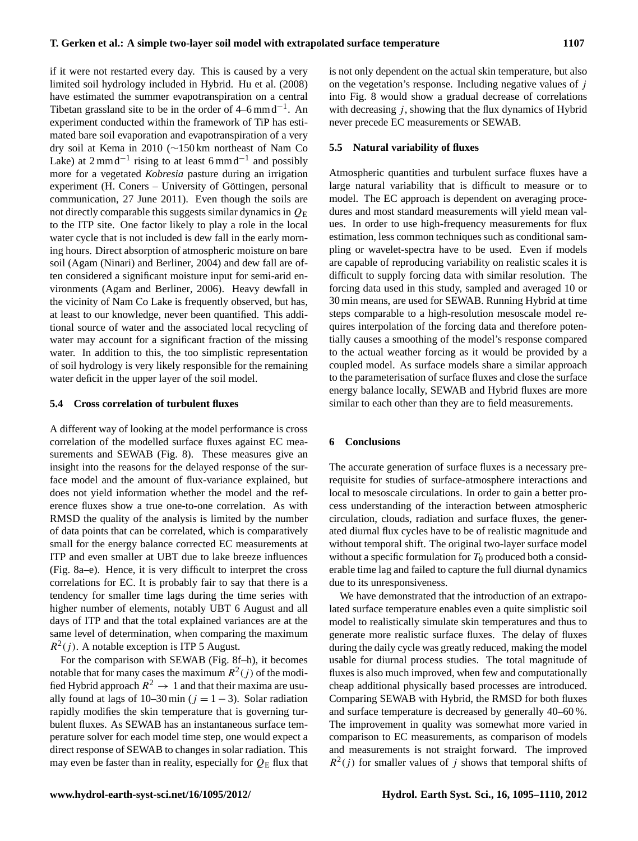if it were not restarted every day. This is caused by a very limited soil hydrology included in Hybrid. [Hu et al. \(2008\)](#page-14-27) have estimated the summer evapotranspiration on a central Tibetan grassland site to be in the order of  $4-6$  mmd<sup>-1</sup>. An experiment conducted within the framework of TiP has estimated bare soil evaporation and evapotranspiration of a very dry soil at Kema in 2010 (∼150 km northeast of Nam Co Lake) at  $2 \text{ mm} \cdot d^{-1}$  rising to at least 6 mm $d^{-1}$  and possibly more for a vegetated *Kobresia* pasture during an irrigation experiment (H. Coners – University of Göttingen, personal communication, 27 June 2011). Even though the soils are not directly comparable this suggests similar dynamics in  $Q_{\rm E}$ to the ITP site. One factor likely to play a role in the local water cycle that is not included is dew fall in the early morning hours. Direct absorption of atmospheric moisture on bare soil [\(Agam \(Ninari\) and Berliner, 2004\)](#page-13-18) and dew fall are often considered a significant moisture input for semi-arid environments [\(Agam and Berliner, 2006\)](#page-13-19). Heavy dewfall in the vicinity of Nam Co Lake is frequently observed, but has, at least to our knowledge, never been quantified. This additional source of water and the associated local recycling of water may account for a significant fraction of the missing water. In addition to this, the too simplistic representation of soil hydrology is very likely responsible for the remaining water deficit in the upper layer of the soil model.

## <span id="page-12-0"></span>**5.4 Cross correlation of turbulent fluxes**

A different way of looking at the model performance is cross correlation of the modelled surface fluxes against EC measurements and SEWAB (Fig. [8\)](#page-10-0). These measures give an insight into the reasons for the delayed response of the surface model and the amount of flux-variance explained, but does not yield information whether the model and the reference fluxes show a true one-to-one correlation. As with RMSD the quality of the analysis is limited by the number of data points that can be correlated, which is comparatively small for the energy balance corrected EC measurements at ITP and even smaller at UBT due to lake breeze influences (Fig. [8a](#page-10-0)–e). Hence, it is very difficult to interpret the cross correlations for EC. It is probably fair to say that there is a tendency for smaller time lags during the time series with higher number of elements, notably UBT 6 August and all days of ITP and that the total explained variances are at the same level of determination, when comparing the maximum  $R^2(j)$ . A notable exception is ITP 5 August.

For the comparison with SEWAB (Fig. [8f](#page-10-0)–h), it becomes notable that for many cases the maximum  $R^2(j)$  of the modified Hybrid approach  $R^2 \to 1$  and that their maxima are usually found at lags of 10–30 min ( $j = 1 - 3$ ). Solar radiation rapidly modifies the skin temperature that is governing turbulent fluxes. As SEWAB has an instantaneous surface temperature solver for each model time step, one would expect a direct response of SEWAB to changes in solar radiation. This may even be faster than in reality, especially for  $Q_E$  flux that is not only dependent on the actual skin temperature, but also on the vegetation's response. Including negative values of  $j$ into Fig. [8](#page-10-0) would show a gradual decrease of correlations with decreasing  $j$ , showing that the flux dynamics of Hybrid never precede EC measurements or SEWAB.

## **5.5 Natural variability of fluxes**

Atmospheric quantities and turbulent surface fluxes have a large natural variability that is difficult to measure or to model. The EC approach is dependent on averaging procedures and most standard measurements will yield mean values. In order to use high-frequency measurements for flux estimation, less common techniques such as conditional sampling or wavelet-spectra have to be used. Even if models are capable of reproducing variability on realistic scales it is difficult to supply forcing data with similar resolution. The forcing data used in this study, sampled and averaged 10 or 30 min means, are used for SEWAB. Running Hybrid at time steps comparable to a high-resolution mesoscale model requires interpolation of the forcing data and therefore potentially causes a smoothing of the model's response compared to the actual weather forcing as it would be provided by a coupled model. As surface models share a similar approach to the parameterisation of surface fluxes and close the surface energy balance locally, SEWAB and Hybrid fluxes are more similar to each other than they are to field measurements.

#### **6 Conclusions**

The accurate generation of surface fluxes is a necessary prerequisite for studies of surface-atmosphere interactions and local to mesoscale circulations. In order to gain a better process understanding of the interaction between atmospheric circulation, clouds, radiation and surface fluxes, the generated diurnal flux cycles have to be of realistic magnitude and without temporal shift. The original two-layer surface model without a specific formulation for  $T_0$  produced both a considerable time lag and failed to capture the full diurnal dynamics due to its unresponsiveness.

We have demonstrated that the introduction of an extrapolated surface temperature enables even a quite simplistic soil model to realistically simulate skin temperatures and thus to generate more realistic surface fluxes. The delay of fluxes during the daily cycle was greatly reduced, making the model usable for diurnal process studies. The total magnitude of fluxes is also much improved, when few and computationally cheap additional physically based processes are introduced. Comparing SEWAB with Hybrid, the RMSD for both fluxes and surface temperature is decreased by generally 40–60 %. The improvement in quality was somewhat more varied in comparison to EC measurements, as comparison of models and measurements is not straight forward. The improved  $R^2(j)$  for smaller values of j shows that temporal shifts of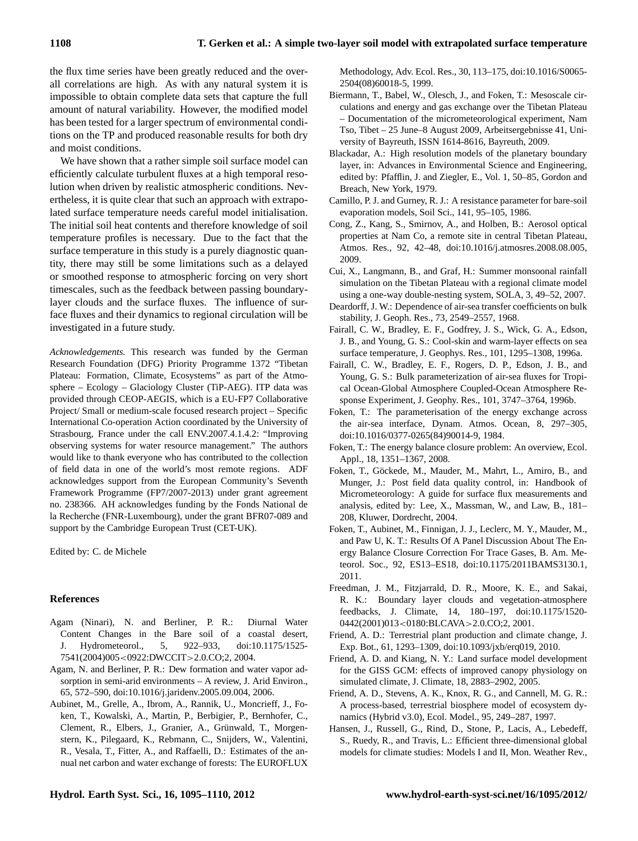the flux time series have been greatly reduced and the overall correlations are high. As with any natural system it is impossible to obtain complete data sets that capture the full amount of natural variability. However, the modified model has been tested for a larger spectrum of environmental conditions on the TP and produced reasonable results for both dry and moist conditions.

We have shown that a rather simple soil surface model can efficiently calculate turbulent fluxes at a high temporal resolution when driven by realistic atmospheric conditions. Nevertheless, it is quite clear that such an approach with extrapolated surface temperature needs careful model initialisation. The initial soil heat contents and therefore knowledge of soil temperature profiles is necessary. Due to the fact that the surface temperature in this study is a purely diagnostic quantity, there may still be some limitations such as a delayed or smoothed response to atmospheric forcing on very short timescales, such as the feedback between passing boundarylayer clouds and the surface fluxes. The influence of surface fluxes and their dynamics to regional circulation will be investigated in a future study.

*Acknowledgements.* This research was funded by the German Research Foundation (DFG) Priority Programme 1372 "Tibetan Plateau: Formation, Climate, Ecosystems" as part of the Atmosphere – Ecology – Glaciology Cluster (TiP-AEG). ITP data was provided through CEOP-AEGIS, which is a EU-FP7 Collaborative Project/ Small or medium-scale focused research project – Specific International Co-operation Action coordinated by the University of Strasbourg, France under the call ENV.2007.4.1.4.2: "Improving observing systems for water resource management." The authors would like to thank everyone who has contributed to the collection of field data in one of the world's most remote regions. ADF acknowledges support from the European Community's Seventh Framework Programme (FP7/2007-2013) under grant agreement no. 238366. AH acknowledges funding by the Fonds National de la Recherche (FNR-Luxembourg), under the grant BFR07-089 and support by the Cambridge European Trust (CET-UK).

Edited by: C. de Michele

# **References**

- <span id="page-13-18"></span>Agam (Ninari), N. and Berliner, P. R.: Diurnal Water Content Changes in the Bare soil of a coastal desert, J. Hydrometeorol., 5, 922–933, [doi:10.1175/1525-](http://dx.doi.org/10.1175/1525-7541(2004)005<0922:DWCCIT>2.0.CO;2) 7541(2004)005<[0922:DWCCIT](http://dx.doi.org/10.1175/1525-7541(2004)005<0922:DWCCIT>2.0.CO;2)>2.0.CO;2, 2004.
- <span id="page-13-19"></span>Agam, N. and Berliner, P. R.: Dew formation and water vapor adsorption in semi-arid environments – A review, J. Arid Environ., 65, 572–590, [doi:10.1016/j.jaridenv.2005.09.004,](http://dx.doi.org/10.1016/j.jaridenv.2005.09.004) 2006.
- <span id="page-13-12"></span>Aubinet, M., Grelle, A., Ibrom, A., Rannik, U., Moncrieff, J., Foken, T., Kowalski, A., Martin, P., Berbigier, P., Bernhofer, C., Clement, R., Elbers, J., Granier, A., Grünwald, T., Morgenstern, K., Pilegaard, K., Rebmann, C., Snijders, W., Valentini, R., Vesala, T., Fitter, A., and Raffaelli, D.: Estimates of the annual net carbon and water exchange of forests: The EUROFLUX

Methodology, Adv. Ecol. Res., 30, 113–175, [doi:10.1016/S0065-](http://dx.doi.org/10.1016/S0065-2504(08)60018-5) [2504\(08\)60018-5,](http://dx.doi.org/10.1016/S0065-2504(08)60018-5) 1999.

- <span id="page-13-6"></span>Biermann, T., Babel, W., Olesch, J., and Foken, T.: Mesoscale circulations and energy and gas exchange over the Tibetan Plateau – Documentation of the micrometeorological experiment, Nam Tso, Tibet – 25 June–8 August 2009, Arbeitsergebnisse 41, University of Bayreuth, ISSN 1614-8616, Bayreuth, 2009.
- <span id="page-13-11"></span>Blackadar, A.: High resolution models of the planetary boundary layer, in: Advances in Environmental Science and Engineering, edited by: Pfafflin, J. and Ziegler, E., Vol. 1, 50–85, Gordon and Breach, New York, 1979.
- <span id="page-13-9"></span>Camillo, P. J. and Gurney, R. J.: A resistance parameter for bare-soil evaporation models, Soil Sci., 141, 95–105, 1986.
- <span id="page-13-5"></span>Cong, Z., Kang, S., Smirnov, A., and Holben, B.: Aerosol optical properties at Nam Co, a remote site in central Tibetan Plateau, Atmos. Res., 92, 42–48, [doi:10.1016/j.atmosres.2008.08.005,](http://dx.doi.org/10.1016/j.atmosres.2008.08.005) 2009.
- <span id="page-13-1"></span>Cui, X., Langmann, B., and Graf, H.: Summer monsoonal rainfall simulation on the Tibetan Plateau with a regional climate model using a one-way double-nesting system, SOLA, 3, 49–52, 2007.
- <span id="page-13-10"></span>Deardorff, J. W.: Dependence of air-sea transfer coefficients on bulk stability, J. Geoph. Res., 73, 2549–2557, 1968.
- <span id="page-13-15"></span>Fairall, C. W., Bradley, E. F., Godfrey, J. S., Wick, G. A., Edson, J. B., and Young, G. S.: Cool-skin and warm-layer effects on sea surface temperature, J. Geophys. Res., 101, 1295–1308, 1996a.
- <span id="page-13-16"></span>Fairall, C. W., Bradley, E. F., Rogers, D. P., Edson, J. B., and Young, G. S.: Bulk parameterization of air-sea fluxes for Tropical Ocean-Global Atmosphere Coupled-Ocean Atmosphere Response Experiment, J. Geophy. Res., 101, 3747–3764, 1996b.
- <span id="page-13-17"></span>Foken, T.: The parameterisation of the energy exchange across the air-sea interface, Dynam. Atmos. Ocean, 8, 297–305, [doi:10.1016/0377-0265\(84\)90014-9,](http://dx.doi.org/10.1016/0377-0265(84)90014-9) 1984.
- <span id="page-13-13"></span>Foken, T.: The energy balance closure problem: An overview, Ecol. Appl., 18, 1351–1367, 2008.
- <span id="page-13-7"></span>Foken, T., Göckede, M., Mauder, M., Mahrt, L., Amiro, B., and Munger, J.: Post field data quality control, in: Handbook of Micrometeorology: A guide for surface flux measurements and analysis, edited by: Lee, X., Massman, W., and Law, B., 181– 208, Kluwer, Dordrecht, 2004.
- <span id="page-13-14"></span>Foken, T., Aubinet, M., Finnigan, J. J., Leclerc, M. Y., Mauder, M., and Paw U, K. T.: Results Of A Panel Discussion About The Energy Balance Closure Correction For Trace Gases, B. Am. Meteorol. Soc., 92, ES13–ES18, [doi:10.1175/2011BAMS3130.1,](http://dx.doi.org/10.1175/2011BAMS3130.1) 2011.
- <span id="page-13-0"></span>Freedman, J. M., Fitzjarrald, D. R., Moore, K. E., and Sakai, R. K.: Boundary layer clouds and vegetation-atmosphere feedbacks, J. Climate, 14, 180–197, [doi:10.1175/1520-](http://dx.doi.org/10.1175/1520-0442(2001)013<0180:BLCAVA>2.0.CO;2) [0442\(2001\)013](http://dx.doi.org/10.1175/1520-0442(2001)013<0180:BLCAVA>2.0.CO;2)<0180:BLCAVA>2.0.CO;2, 2001.
- <span id="page-13-4"></span>Friend, A. D.: Terrestrial plant production and climate change, J. Exp. Bot., 61, 1293–1309, [doi:10.1093/jxb/erq019,](http://dx.doi.org/10.1093/jxb/erq019) 2010.
- <span id="page-13-3"></span>Friend, A. D. and Kiang, N. Y.: Land surface model development for the GISS GCM: effects of improved canopy physiology on simulated climate, J. Climate, 18, 2883–2902, 2005.
- <span id="page-13-2"></span>Friend, A. D., Stevens, A. K., Knox, R. G., and Cannell, M. G. R.: A process-based, terrestrial biosphere model of ecosystem dynamics (Hybrid v3.0), Ecol. Model., 95, 249–287, 1997.
- <span id="page-13-8"></span>Hansen, J., Russell, G., Rind, D., Stone, P., Lacis, A., Lebedeff, S., Ruedy, R., and Travis, L.: Efficient three-dimensional global models for climate studies: Models I and II, Mon. Weather Rev.,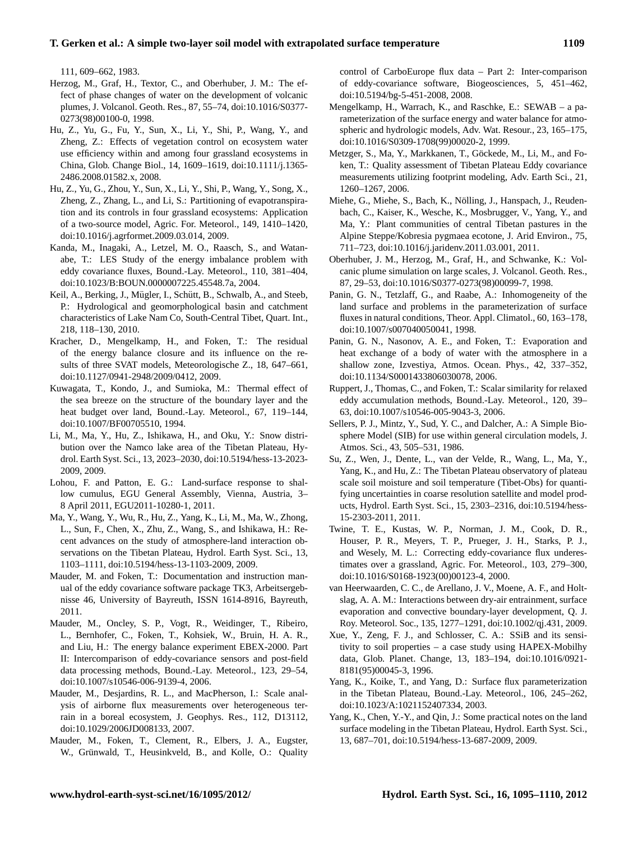# **T. Gerken et al.: A simple two-layer soil model with extrapolated surface temperature 1109**

111, 609–662, 1983.

- <span id="page-14-8"></span>Herzog, M., Graf, H., Textor, C., and Oberhuber, J. M.: The effect of phase changes of water on the development of volcanic plumes, J. Volcanol. Geoth. Res., 87, 55–74, [doi:10.1016/S0377-](http://dx.doi.org/10.1016/S0377-0273(98)00100-0) [0273\(98\)00100-0,](http://dx.doi.org/10.1016/S0377-0273(98)00100-0) 1998.
- <span id="page-14-27"></span>Hu, Z., Yu, G., Fu, Y., Sun, X., Li, Y., Shi, P., Wang, Y., and Zheng, Z.: Effects of vegetation control on ecosystem water use efficiency within and among four grassland ecosystems in China, Glob. Change Biol., 14, 1609–1619, [doi:10.1111/j.1365-](http://dx.doi.org/10.1111/j.1365-2486.2008.01582.x) [2486.2008.01582.x,](http://dx.doi.org/10.1111/j.1365-2486.2008.01582.x) 2008.
- <span id="page-14-11"></span>Hu, Z., Yu, G., Zhou, Y., Sun, X., Li, Y., Shi, P., Wang, Y., Song, X., Zheng, Z., Zhang, L., and Li, S.: Partitioning of evapotranspiration and its controls in four grassland ecosystems: Application of a two-source model, Agric. For. Meteorol., 149, 1410–1420, [doi:10.1016/j.agrformet.2009.03.014,](http://dx.doi.org/10.1016/j.agrformet.2009.03.014) 2009.
- <span id="page-14-18"></span>Kanda, M., Inagaki, A., Letzel, M. O., Raasch, S., and Watanabe, T.: LES Study of the energy imbalance problem with eddy covariance fluxes, Bound.-Lay. Meteorol., 110, 381–404, [doi:10.1023/B:BOUN.0000007225.45548.7a,](http://dx.doi.org/10.1023/B:BOUN.0000007225.45548.7a) 2004.
- <span id="page-14-14"></span>Keil, A., Berking, J., Mügler, I., Schütt, B., Schwalb, A., and Steeb, P.: Hydrological and geomorphological basin and catchment characteristics of Lake Nam Co, South-Central Tibet, Quart. Int., 218, 118–130, 2010.
- <span id="page-14-16"></span>Kracher, D., Mengelkamp, H., and Foken, T.: The residual of the energy balance closure and its influence on the results of three SVAT models, Meteorologische Z., 18, 647–661, [doi:10.1127/0941-2948/2009/0412,](http://dx.doi.org/10.1127/0941-2948/2009/0412) 2009.
- <span id="page-14-19"></span>Kuwagata, T., Kondo, J., and Sumioka, M.: Thermal effect of the sea breeze on the structure of the boundary layer and the heat budget over land, Bound.-Lay. Meteorol., 67, 119–144, [doi:10.1007/BF00705510,](http://dx.doi.org/10.1007/BF00705510) 1994.
- <span id="page-14-9"></span>Li, M., Ma, Y., Hu, Z., Ishikawa, H., and Oku, Y.: Snow distribution over the Namco lake area of the Tibetan Plateau, Hydrol. Earth Syst. Sci., 13, 2023–2030, [doi:10.5194/hess-13-2023-](http://dx.doi.org/10.5194/hess-13-2023-2009) [2009,](http://dx.doi.org/10.5194/hess-13-2023-2009) 2009.
- <span id="page-14-1"></span>Lohou, F. and Patton, E. G.: Land-surface response to shallow cumulus, EGU General Assembly, Vienna, Austria, 3– 8 April 2011, EGU2011-10280-1, 2011.
- <span id="page-14-6"></span>Ma, Y., Wang, Y., Wu, R., Hu, Z., Yang, K., Li, M., Ma, W., Zhong, L., Sun, F., Chen, X., Zhu, Z., Wang, S., and Ishikawa, H.: Recent advances on the study of atmosphere-land interaction observations on the Tibetan Plateau, Hydrol. Earth Syst. Sci., 13, 1103–1111, [doi:10.5194/hess-13-1103-2009,](http://dx.doi.org/10.5194/hess-13-1103-2009) 2009.
- <span id="page-14-22"></span>Mauder, M. and Foken, T.: Documentation and instruction manual of the eddy covariance software package TK3, Arbeitsergebnisse 46, University of Bayreuth, ISSN 1614-8916, Bayreuth, 2011.
- <span id="page-14-24"></span>Mauder, M., Oncley, S. P., Vogt, R., Weidinger, T., Ribeiro, L., Bernhofer, C., Foken, T., Kohsiek, W., Bruin, H. A. R., and Liu, H.: The energy balance experiment EBEX-2000. Part II: Intercomparison of eddy-covariance sensors and post-field data processing methods, Bound.-Lay. Meteorol., 123, 29–54, [doi:10.1007/s10546-006-9139-4,](http://dx.doi.org/10.1007/s10546-006-9139-4) 2006.
- <span id="page-14-26"></span>Mauder, M., Desjardins, R. L., and MacPherson, I.: Scale analysis of airborne flux measurements over heterogeneous terrain in a boreal ecosystem, J. Geophys. Res., 112, D13112, [doi:10.1029/2006JD008133,](http://dx.doi.org/10.1029/2006JD008133) 2007.
- <span id="page-14-21"></span>Mauder, M., Foken, T., Clement, R., Elbers, J. A., Eugster, W., Grünwald, T., Heusinkveld, B., and Kolle, O.: Quality

control of CarboEurope flux data – Part 2: Inter-comparison of eddy-covariance software, Biogeosciences, 5, 451–462, [doi:10.5194/bg-5-451-2008,](http://dx.doi.org/10.5194/bg-5-451-2008) 2008.

- <span id="page-14-15"></span>Mengelkamp, H., Warrach, K., and Raschke, E.: SEWAB – a parameterization of the surface energy and water balance for atmospheric and hydrologic models, Adv. Wat. Resour., 23, 165–175, [doi:10.1016/S0309-1708\(99\)00020-2,](http://dx.doi.org/10.1016/S0309-1708(99)00020-2) 1999.
- <span id="page-14-10"></span>Metzger, S., Ma, Y., Markkanen, T., Göckede, M., Li, M., and Foken, T.: Quality assessment of Tibetan Plateau Eddy covariance measurements utilizing footprint modeling, Adv. Earth Sci., 21, 1260–1267, 2006.
- <span id="page-14-2"></span>Miehe, G., Miehe, S., Bach, K., Nölling, J., Hanspach, J., Reudenbach, C., Kaiser, K., Wesche, K., Mosbrugger, V., Yang, Y., and Ma, Y.: Plant communities of central Tibetan pastures in the Alpine Steppe/Kobresia pygmaea ecotone, J. Arid Environ., 75, 711–723, [doi:10.1016/j.jaridenv.2011.03.001,](http://dx.doi.org/10.1016/j.jaridenv.2011.03.001) 2011.
- <span id="page-14-7"></span>Oberhuber, J. M., Herzog, M., Graf, H., and Schwanke, K.: Volcanic plume simulation on large scales, J. Volcanol. Geoth. Res., 87, 29–53, [doi:10.1016/S0377-0273\(98\)00099-7,](http://dx.doi.org/10.1016/S0377-0273(98)00099-7) 1998.
- <span id="page-14-17"></span>Panin, G. N., Tetzlaff, G., and Raabe, A.: Inhomogeneity of the land surface and problems in the parameterization of surface fluxes in natural conditions, Theor. Appl. Climatol., 60, 163–178, [doi:10.1007/s007040050041,](http://dx.doi.org/10.1007/s007040050041) 1998.
- <span id="page-14-23"></span>Panin, G. N., Nasonov, A. E., and Foken, T.: Evaporation and heat exchange of a body of water with the atmosphere in a shallow zone, Izvestiya, Atmos. Ocean. Phys., 42, 337–352, [doi:10.1134/S0001433806030078,](http://dx.doi.org/10.1134/S0001433806030078) 2006.
- <span id="page-14-25"></span>Ruppert, J., Thomas, C., and Foken, T.: Scalar similarity for relaxed eddy accumulation methods, Bound.-Lay. Meteorol., 120, 39– 63, [doi:10.1007/s10546-005-9043-3,](http://dx.doi.org/10.1007/s10546-005-9043-3) 2006.
- <span id="page-14-13"></span>Sellers, P. J., Mintz, Y., Sud, Y. C., and Dalcher, A.: A Simple Biosphere Model (SIB) for use within general circulation models, J. Atmos. Sci., 43, 505–531, 1986.
- <span id="page-14-5"></span>Su, Z., Wen, J., Dente, L., van der Velde, R., Wang, L., Ma, Y., Yang, K., and Hu, Z.: The Tibetan Plateau observatory of plateau scale soil moisture and soil temperature (Tibet-Obs) for quantifying uncertainties in coarse resolution satellite and model products, Hydrol. Earth Syst. Sci., 15, 2303–2316, [doi:10.5194/hess-](http://dx.doi.org/10.5194/hess-15-2303-2011)[15-2303-2011,](http://dx.doi.org/10.5194/hess-15-2303-2011) 2011.
- <span id="page-14-20"></span>Twine, T. E., Kustas, W. P., Norman, J. M., Cook, D. R., Houser, P. R., Meyers, T. P., Prueger, J. H., Starks, P. J., and Wesely, M. L.: Correcting eddy-covariance flux underestimates over a grassland, Agric. For. Meteorol., 103, 279–300, [doi:10.1016/S0168-1923\(00\)00123-4,](http://dx.doi.org/10.1016/S0168-1923(00)00123-4) 2000.
- <span id="page-14-0"></span>van Heerwaarden, C. C., de Arellano, J. V., Moene, A. F., and Holtslag, A. A. M.: Interactions between dry-air entrainment, surface evaporation and convective boundary-layer development, Q. J. Roy. Meteorol. Soc., 135, 1277–1291, [doi:10.1002/qj.431,](http://dx.doi.org/10.1002/qj.431) 2009.
- <span id="page-14-12"></span>Xue, Y., Zeng, F. J., and Schlosser, C. A.: SSiB and its sensitivity to soil properties – a case study using HAPEX-Mobilhy data, Glob. Planet. Change, 13, 183–194, [doi:10.1016/0921-](http://dx.doi.org/10.1016/0921-8181(95)00045-3) [8181\(95\)00045-3,](http://dx.doi.org/10.1016/0921-8181(95)00045-3) 1996.
- <span id="page-14-3"></span>Yang, K., Koike, T., and Yang, D.: Surface flux parameterization in the Tibetan Plateau, Bound.-Lay. Meteorol., 106, 245–262, [doi:10.1023/A:1021152407334,](http://dx.doi.org/10.1023/A:1021152407334) 2003.
- <span id="page-14-4"></span>Yang, K., Chen, Y.-Y., and Qin, J.: Some practical notes on the land surface modeling in the Tibetan Plateau, Hydrol. Earth Syst. Sci., 13, 687–701, [doi:10.5194/hess-13-687-2009,](http://dx.doi.org/10.5194/hess-13-687-2009) 2009.